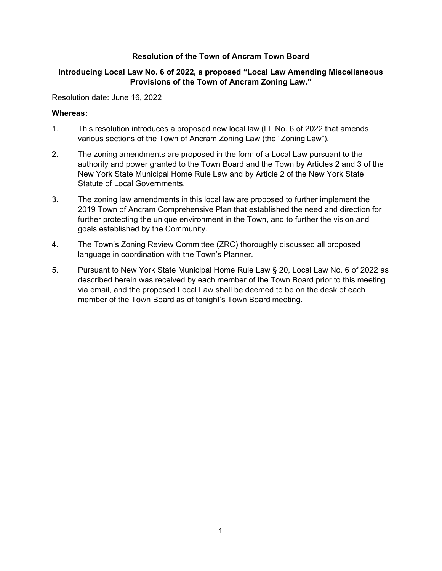## **Resolution of the Town of Ancram Town Board**

## **Introducing Local Law No. 6 of 2022, a proposed "Local Law Amending Miscellaneous Provisions of the Town of Ancram Zoning Law."**

Resolution date: June 16, 2022

## **Whereas:**

- 1. This resolution introduces a proposed new local law (LL No. 6 of 2022 that amends various sections of the Town of Ancram Zoning Law (the "Zoning Law").
- 2. The zoning amendments are proposed in the form of a Local Law pursuant to the authority and power granted to the Town Board and the Town by Articles 2 and 3 of the New York State Municipal Home Rule Law and by Article 2 of the New York State Statute of Local Governments.
- 3. The zoning law amendments in this local law are proposed to further implement the 2019 Town of Ancram Comprehensive Plan that established the need and direction for further protecting the unique environment in the Town, and to further the vision and goals established by the Community.
- 4. The Town's Zoning Review Committee (ZRC) thoroughly discussed all proposed language in coordination with the Town's Planner.
- 5. Pursuant to New York State Municipal Home Rule Law § 20, Local Law No. 6 of 2022 as described herein was received by each member of the Town Board prior to this meeting via email, and the proposed Local Law shall be deemed to be on the desk of each member of the Town Board as of tonight's Town Board meeting.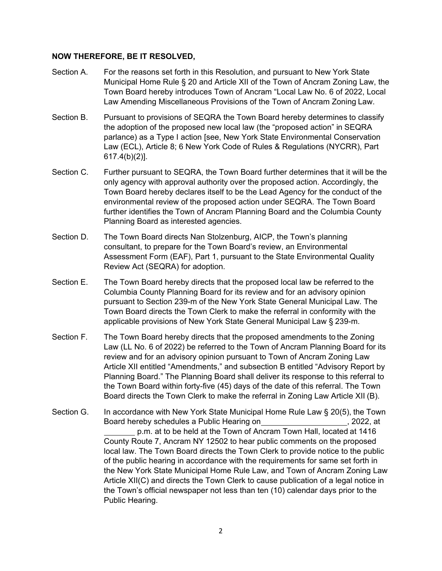## **NOW THEREFORE, BE IT RESOLVED,**

- Section A. For the reasons set forth in this Resolution, and pursuant to New York State Municipal Home Rule § 20 and Article XII of the Town of Ancram Zoning Law, the Town Board hereby introduces Town of Ancram "Local Law No. 6 of 2022, Local Law Amending Miscellaneous Provisions of the Town of Ancram Zoning Law.
- Section B. Pursuant to provisions of SEQRA the Town Board hereby determines to classify the adoption of the proposed new local law (the "proposed action" in SEQRA parlance) as a Type I action [see, New York State Environmental Conservation Law (ECL), Article 8; 6 New York Code of Rules & Regulations (NYCRR), Part 617.4(b)(2)].
- Section C. Further pursuant to SEQRA, the Town Board further determines that it will be the only agency with approval authority over the proposed action. Accordingly, the Town Board hereby declares itself to be the Lead Agency for the conduct of the environmental review of the proposed action under SEQRA. The Town Board further identifies the Town of Ancram Planning Board and the Columbia County Planning Board as interested agencies.
- Section D. The Town Board directs Nan Stolzenburg, AICP, the Town's planning consultant, to prepare for the Town Board's review, an Environmental Assessment Form (EAF), Part 1, pursuant to the State Environmental Quality Review Act (SEQRA) for adoption.
- Section E. The Town Board hereby directs that the proposed local law be referred to the Columbia County Planning Board for its review and for an advisory opinion pursuant to Section 239-m of the New York State General Municipal Law. The Town Board directs the Town Clerk to make the referral in conformity with the applicable provisions of New York State General Municipal Law § 239-m.
- Section F. The Town Board hereby directs that the proposed amendments to the Zoning Law (LL No. 6 of 2022) be referred to the Town of Ancram Planning Board for its review and for an advisory opinion pursuant to Town of Ancram Zoning Law Article XII entitled "Amendments," and subsection B entitled "Advisory Report by Planning Board." The Planning Board shall deliver its response to this referral to the Town Board within forty-five (45) days of the date of this referral. The Town Board directs the Town Clerk to make the referral in Zoning Law Article XII (B).
- Section G. In accordance with New York State Municipal Home Rule Law § 20(5), the Town Board hereby schedules a Public Hearing on  $\qquad \qquad$ , 2022, at p.m. at to be held at the Town of Ancram Town Hall, located at 1416 County Route 7, Ancram NY 12502 to hear public comments on the proposed local law. The Town Board directs the Town Clerk to provide notice to the public of the public hearing in accordance with the requirements for same set forth in the New York State Municipal Home Rule Law, and Town of Ancram Zoning Law Article XII(C) and directs the Town Clerk to cause publication of a legal notice in the Town's official newspaper not less than ten (10) calendar days prior to the Public Hearing.